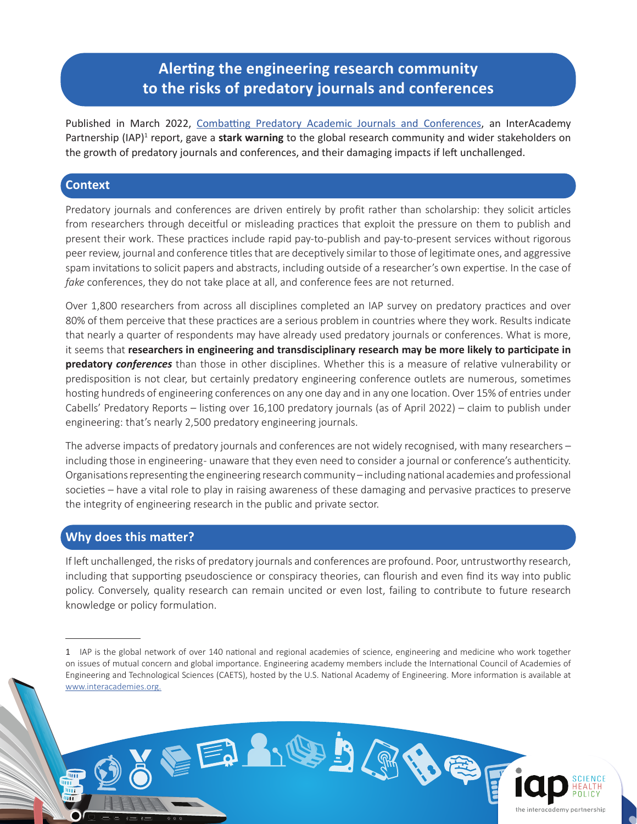## **Alerting the engineering research community to the risks of predatory journals and conferences**

Published in March 2022, [Combatting Predatory Academic Journals and Conferences,](https://www.interacademies.org/project/predatorypublishing) an InterAcademy Partnership (IAP)<sup>1</sup> report, gave a stark warning to the global research community and wider stakeholders on the growth of predatory journals and conferences, and their damaging impacts if left unchallenged.

## **Context**

Predatory journals and conferences are driven entirely by profit rather than scholarship: they solicit articles from researchers through deceitful or misleading practices that exploit the pressure on them to publish and present their work. These practices include rapid pay-to-publish and pay-to-present services without rigorous peer review, journal and conference titles that are deceptively similar to those of legitimate ones, and aggressive spam invitations to solicit papers and abstracts, including outside of a researcher's own expertise. In the case of *fake* conferences, they do not take place at all, and conference fees are not returned.

Over 1,800 researchers from across all disciplines completed an IAP survey on predatory practices and over 80% of them perceive that these practices are a serious problem in countries where they work. Results indicate that nearly a quarter of respondents may have already used predatory journals or conferences. What is more, it seems that **researchers in engineering and transdisciplinary research may be more likely to participate in predatory** *conferences* than those in other disciplines. Whether this is a measure of relative vulnerability or predisposition is not clear, but certainly predatory engineering conference outlets are numerous, sometimes hosting hundreds of engineering conferences on any one day and in any one location. Over 15% of entries under Cabells' Predatory Reports – listing over 16,100 predatory journals (as of April 2022) – claim to publish under engineering: that's nearly 2,500 predatory engineering journals.

The adverse impacts of predatory journals and conferences are not widely recognised, with many researchers – including those in engineering- unaware that they even need to consider a journal or conference's authenticity. Organisations representing the engineering research community – including national academies and professional societies – have a vital role to play in raising awareness of these damaging and pervasive practices to preserve the integrity of engineering research in the public and private sector.

## **Why does this matter?**

шī

If left unchallenged, the risks of predatory journals and conferences are profound. Poor, untrustworthy research, including that supporting pseudoscience or conspiracy theories, can flourish and even find its way into public policy. Conversely, quality research can remain uncited or even lost, failing to contribute to future research knowledge or policy formulation.

EEANOBADE

<sup>1</sup> IAP is the global network of over 140 national and regional academies of science, engineering and medicine who work together on issues of mutual concern and global importance. Engineering academy members include the International Council of Academies of Engineering and Technological Sciences (CAETS), hosted by the U.S. National Academy of Engineering. More information is available at [www.interacademies.org.](https://www.interacademies.org/)